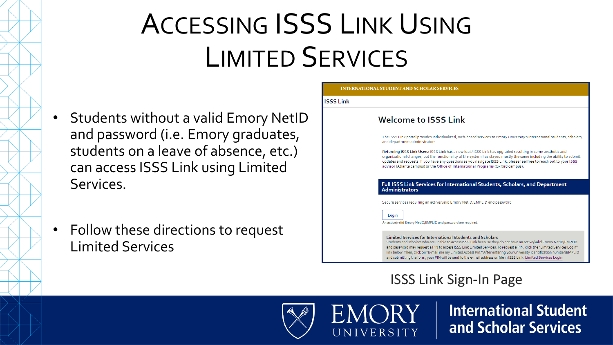# ACCESSING ISSS LINK USING LIMITED SERVICES

**ISSS Li** 

- Students without a valid Emory NetID and password (i.e. Emory graduates, students on a leave of absence, etc.) can access ISSS Link using Limited Services.
- Follow these directions to request Limited Services

| <b>Welcome to ISSS Link</b>                                                                                                                                                                                                                                                                                                                                                                                                                         |  |
|-----------------------------------------------------------------------------------------------------------------------------------------------------------------------------------------------------------------------------------------------------------------------------------------------------------------------------------------------------------------------------------------------------------------------------------------------------|--|
| The ISSS Link portal provides individualized, web-based services to Emory University's international students, scholars,<br>and department administrators.                                                                                                                                                                                                                                                                                          |  |
| Returning ISSS Link Users: ISSS Link has a new look! ISSS Link has upgraded resulting in some aesthetic and<br>organizational changes, but the functionality of the system has stayed mostly the same including the ability to submit<br>updates and requests. If you have any questions as you navigate ISSS Link, please feel free to reach out to your ISSS<br>advisor (Atlanta campus) or the Office of International Programs (Oxford campus). |  |
| Full ISSS Link Services for International Students, Scholars, and Department<br><b>Administrators</b>                                                                                                                                                                                                                                                                                                                                               |  |
| Secure services requiring an active/valid Emory NetID/EMPLID and password                                                                                                                                                                                                                                                                                                                                                                           |  |
| Login<br>An active/valid Emory NetID/EMPLID and password are required.                                                                                                                                                                                                                                                                                                                                                                              |  |
| <b>Limited Services for International Students and Scholars</b><br>Students and scholars who are unable to access ISSS Link because they do not have an active/valid Emory NetID/EMPLID<br>and password may request a PIN to access ISSS Link Limited Services. To request a PIN, click the "Limited Services Login"                                                                                                                                |  |

### ISSS Link Sign-In Page



**International Student** and Scholar Services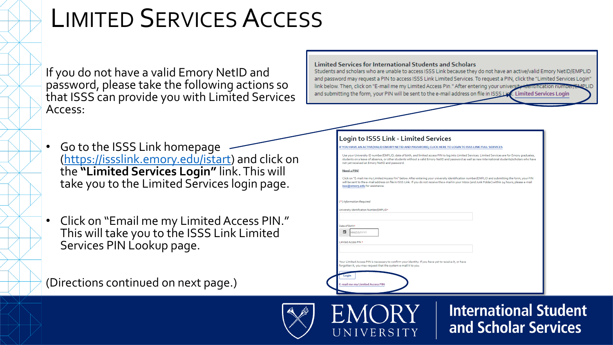### LIMITED SERVICES ACCESS

If you do not have a valid Emory NetID and password, please take the following actions so that ISSS can provide you with Limited Services Access:

- Go to the ISSS Link homepage [\(https://issslink.emory.edu/istart\)](https://issslink.emory.edu/istart) and click on the **"Limited Services Login"** link. This will take you to the Limited Services login page.
- Click on "Email me my Limited Access PIN." This will take you to the ISSS Link Limited Services PIN Lookup page.

(Directions continued on next page.)

IVERSITY

**International Student** and Scholar Services

**Limited Services for International Students and Scholars** 

Students and scholars who are unable to access ISSS Link because they do not have an active/valid Emory NetID/EMPLID and password may request a PIN to access ISSS Link Limited Services. To request a PIN, click the "Limited Services Login" link below. Then, click on "E-mail me my Limited Access Pin." After entering your university identification nui and submitting the form, your PIN will be sent to the e-mail address on file in ISSS Lisk. Limited Services Login

| <b>Login to ISSS Link - Limited Services</b>                                                                                                                                                                                                                                                                                                               |
|------------------------------------------------------------------------------------------------------------------------------------------------------------------------------------------------------------------------------------------------------------------------------------------------------------------------------------------------------------|
| IF YOU HAVE AN ACTIVE/VALID EMORY NETID AND PASSWORD, CLICK HERE TO LOGIN TO ISSS LINK FULL SERVICES                                                                                                                                                                                                                                                       |
| Use your University ID number/EMPLID, date of birth, and limited access PIN to log into Limited Services. Limited Services are for Emory graduates,<br>students on a leave of absence, or other students without a valid Emory NetID and password as well as new international students/scholars who have<br>not yet received an Emory NetID and password. |
| Need a PIN?                                                                                                                                                                                                                                                                                                                                                |
| Click on "E-mail me my Limited Access Pin" below. After entering your university identification number/EMPLID and submitting the form, your PIN<br>will be sent to the e-mail address on file in ISSS Link. If you do not receive the e-mail in your Inbox (and Junk Folder) within 24 hours, please e-mail<br>isss@emory.edu for assistance.              |
| (*) Information Required                                                                                                                                                                                                                                                                                                                                   |
| University Identification Number/EMPLID*                                                                                                                                                                                                                                                                                                                   |
|                                                                                                                                                                                                                                                                                                                                                            |
| Date of Birth*<br>п<br>MM/DD/YYYY                                                                                                                                                                                                                                                                                                                          |
| Limited Access PIN *                                                                                                                                                                                                                                                                                                                                       |
|                                                                                                                                                                                                                                                                                                                                                            |
| Your Limited Access PIN is necessary to confirm your identity. If you have yet to receive it, or have                                                                                                                                                                                                                                                      |
| forgotten it, you may request that the system e-mail it to you.                                                                                                                                                                                                                                                                                            |
| Login                                                                                                                                                                                                                                                                                                                                                      |
| E-mail me my Limited Access PIN                                                                                                                                                                                                                                                                                                                            |
|                                                                                                                                                                                                                                                                                                                                                            |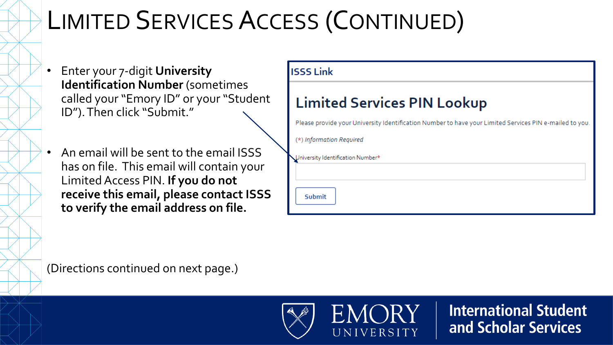## LIMITED SERVICES ACCESS (CONTINUED)

- Enter your 7-digit **University Identification Number** (sometimes called your "Emory ID" or your "Student ID"). Then click "Submit."
- An email will be sent to the email ISSS has on file. This email will contain your Limited Access PIN. **If you do not receive this email, please contact ISSS to verify the email address on file.**

| <b>ISSS Link</b>                                                                                        |
|---------------------------------------------------------------------------------------------------------|
| <b>Limited Services PIN Lookup</b>                                                                      |
| Please provide your University Identification Number to have your Limited Services PIN e-mailed to you. |
| (*) Information Required                                                                                |
| Jniversity Identification Number*                                                                       |
| Submit                                                                                                  |

(Directions continued on next page.)



 $\bigcap$ RY UNIVERSITY

**International Student** and Scholar Services